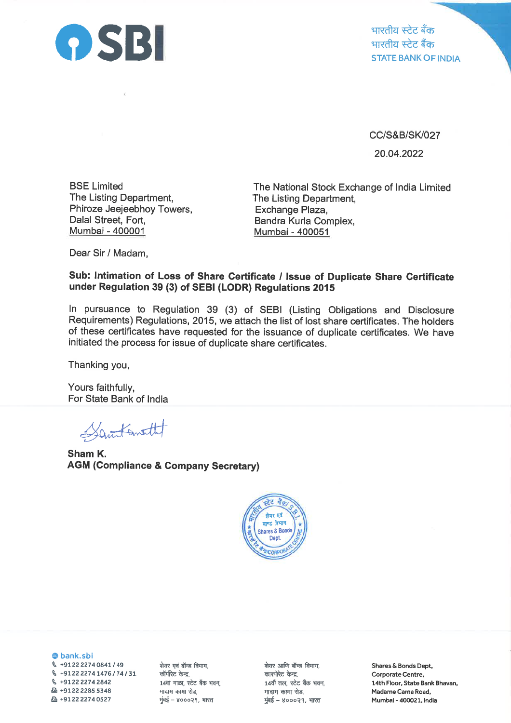

भारतीय स्टेट बँक भारतीय स्टेट बैंक STATE BANK OF INDIA

cc/s&B/sK027 20.04.2022

BSE Limited The Listing Department, Phiroze Jeejeebhoy Towers, Dalal Street, Fort, Mumbai - 400001

The National Stock Exchange of lndia Limited The Listing Department, Exchange Plaza, Bandra Kurla Complex, Mumbai - 400051

Dear Sir / Madam,

## Sub: lntimation of Loss of Share Certificate / lssue of Duplicate Share Certificate under Regulation 39 (3) of SEBI (LODR) Regulations 201b

ln pursuance to Regulation 39 (3) of SEBI (Listing Obligations and Disclosure Requirements) Regulations, 2015, we attach the list of lost share certificates. The holders of these certificates have requested for the issuance of duplicate certificates. We have initiated the process for issue of duplicate share certificates.

Thanking you,

Yours faithfully, For State Bank of lndia

Santometh

Sham K. AGM (Gompliance & Company Secretary)



@ bank.sbi \ +97222214O84L1 <sup>49</sup> q +9122 22741476174131  $\%$  +91 22 2274 2842 A +91 22 2285 <sup>5348</sup> A +91 22 22740527

शेयर एवं बॉन्ड विभाग, कॉर्पोरेट केन्द्र, 14वा माळा, स्टेट बँक भवन, मादाम कामा रोड, मुंबई - ४०००२१, भारत

शेयर आणि बॉन्ड विभाग, कारपोरेट केन्द्र, 14वाँ तल, स्टेट बैंक भवन, मादाम कामा रोड, मुंबई - ४०००२१, भारत

Shares & Bonds Dept, Corporate Centre, 14th Floor, State Bank Bhavan, Madame Cama Road, Mumbal- 400021, lndia